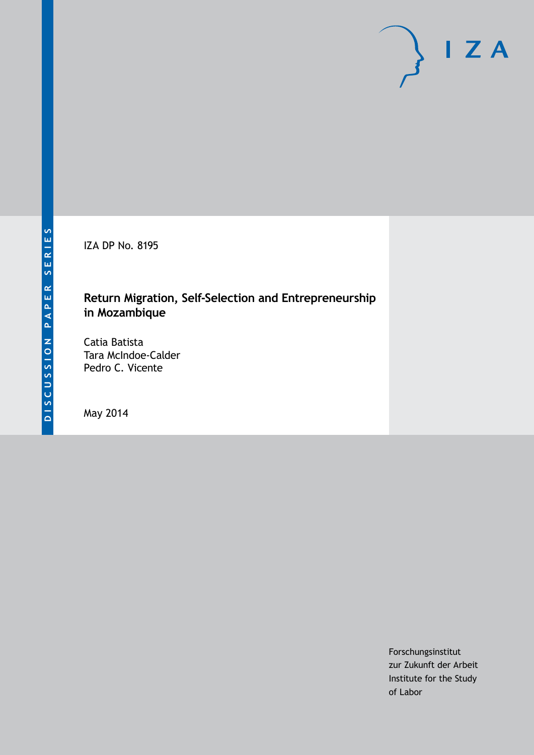IZA DP No. 8195

## **Return Migration, Self-Selection and Entrepreneurship in Mozambique**

Catia Batista Tara McIndoe-Calder Pedro C. Vicente

May 2014

Forschungsinstitut zur Zukunft der Arbeit Institute for the Study of Labor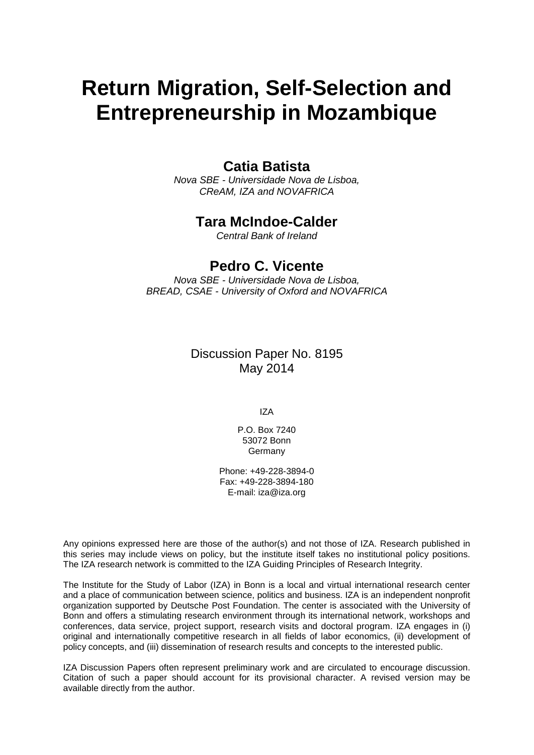# **Return Migration, Self-Selection and Entrepreneurship in Mozambique**

## **Catia Batista**

*Nova SBE - Universidade Nova de Lisboa, CReAM, IZA and NOVAFRICA*

## **Tara McIndoe-Calder**

*Central Bank of Ireland*

## **Pedro C. Vicente**

*Nova SBE - Universidade Nova de Lisboa, BREAD, CSAE - University of Oxford and NOVAFRICA*

## Discussion Paper No. 8195 May 2014

IZA

P.O. Box 7240 53072 Bonn **Germany** 

Phone: +49-228-3894-0 Fax: +49-228-3894-180 E-mail: [iza@iza.org](mailto:iza@iza.org)

Any opinions expressed here are those of the author(s) and not those of IZA. Research published in this series may include views on policy, but the institute itself takes no institutional policy positions. The IZA research network is committed to the IZA Guiding Principles of Research Integrity.

The Institute for the Study of Labor (IZA) in Bonn is a local and virtual international research center and a place of communication between science, politics and business. IZA is an independent nonprofit organization supported by Deutsche Post Foundation. The center is associated with the University of Bonn and offers a stimulating research environment through its international network, workshops and conferences, data service, project support, research visits and doctoral program. IZA engages in (i) original and internationally competitive research in all fields of labor economics, (ii) development of policy concepts, and (iii) dissemination of research results and concepts to the interested public.

<span id="page-1-0"></span>IZA Discussion Papers often represent preliminary work and are circulated to encourage discussion. Citation of such a paper should account for its provisional character. A revised version may be available directly from the author.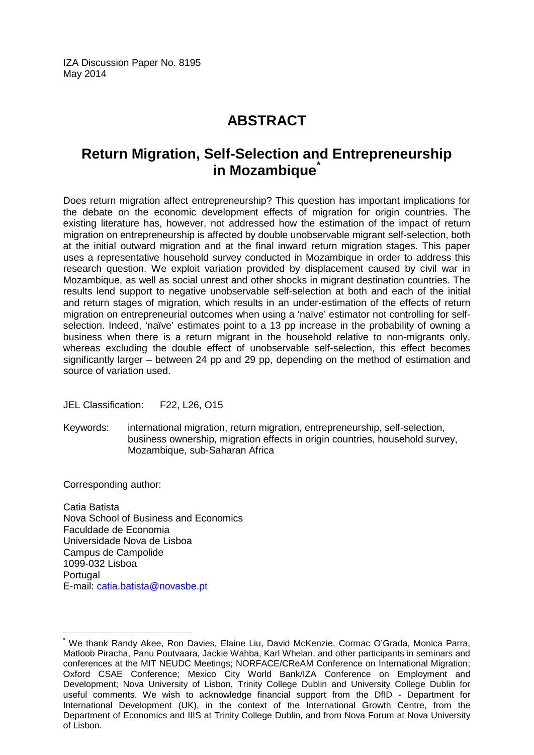IZA Discussion Paper No. 8195 May 2014

## **ABSTRACT**

## **Return Migration, Self-Selection and Entrepreneurship in Mozambique[\\*](#page-1-0)**

Does return migration affect entrepreneurship? This question has important implications for the debate on the economic development effects of migration for origin countries. The existing literature has, however, not addressed how the estimation of the impact of return migration on entrepreneurship is affected by double unobservable migrant self-selection, both at the initial outward migration and at the final inward return migration stages. This paper uses a representative household survey conducted in Mozambique in order to address this research question. We exploit variation provided by displacement caused by civil war in Mozambique, as well as social unrest and other shocks in migrant destination countries. The results lend support to negative unobservable self-selection at both and each of the initial and return stages of migration, which results in an under-estimation of the effects of return migration on entrepreneurial outcomes when using a 'naïve' estimator not controlling for selfselection. Indeed, 'naïve' estimates point to a 13 pp increase in the probability of owning a business when there is a return migrant in the household relative to non-migrants only, whereas excluding the double effect of unobservable self-selection, this effect becomes significantly larger – between 24 pp and 29 pp, depending on the method of estimation and source of variation used.

JEL Classification: F22, L26, O15

Keywords: international migration, return migration, entrepreneurship, self-selection, business ownership, migration effects in origin countries, household survey, Mozambique, sub-Saharan Africa

Corresponding author:

Catia Batista Nova School of Business and Economics Faculdade de Economia Universidade Nova de Lisboa Campus de Campolide 1099-032 Lisboa **Portugal** E-mail: [catia.batista@novasbe.pt](mailto:catia.batista@novasbe.pt)

\* We thank Randy Akee, Ron Davies, Elaine Liu, David McKenzie, Cormac O'Grada, Monica Parra, Matloob Piracha, Panu Poutvaara, Jackie Wahba, Karl Whelan, and other participants in seminars and conferences at the MIT NEUDC Meetings; NORFACE/CReAM Conference on International Migration; Oxford CSAE Conference; Mexico City World Bank/IZA Conference on Employment and Development; Nova University of Lisbon, Trinity College Dublin and University College Dublin for useful comments. We wish to acknowledge financial support from the DfID - Department for International Development (UK), in the context of the International Growth Centre, from the Department of Economics and IIIS at Trinity College Dublin, and from Nova Forum at Nova University of Lisbon.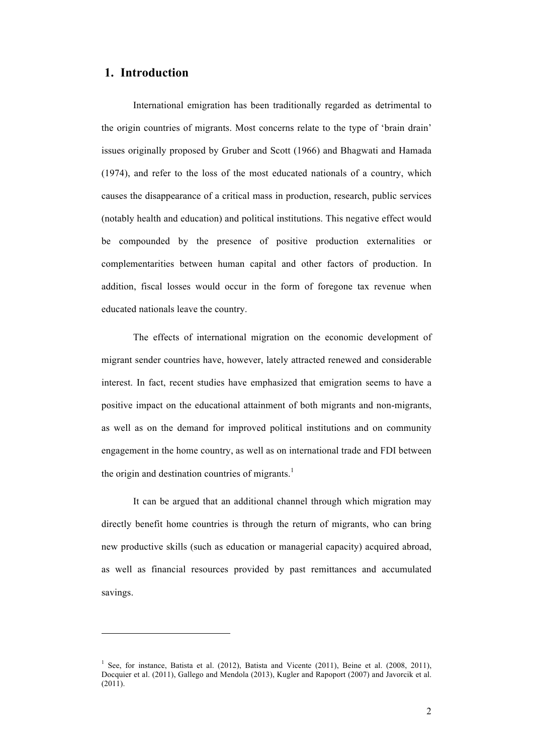### **1. Introduction**

l

International emigration has been traditionally regarded as detrimental to the origin countries of migrants. Most concerns relate to the type of 'brain drain' issues originally proposed by Gruber and Scott (1966) and Bhagwati and Hamada (1974), and refer to the loss of the most educated nationals of a country, which causes the disappearance of a critical mass in production, research, public services (notably health and education) and political institutions. This negative effect would be compounded by the presence of positive production externalities or complementarities between human capital and other factors of production. In addition, fiscal losses would occur in the form of foregone tax revenue when educated nationals leave the country.

The effects of international migration on the economic development of migrant sender countries have, however, lately attracted renewed and considerable interest. In fact, recent studies have emphasized that emigration seems to have a positive impact on the educational attainment of both migrants and non-migrants, as well as on the demand for improved political institutions and on community engagement in the home country, as well as on international trade and FDI between the origin and destination countries of migrants.<sup>1</sup>

It can be argued that an additional channel through which migration may directly benefit home countries is through the return of migrants, who can bring new productive skills (such as education or managerial capacity) acquired abroad, as well as financial resources provided by past remittances and accumulated savings.

<sup>&</sup>lt;sup>1</sup> See, for instance, Batista et al. (2012), Batista and Vicente (2011), Beine et al. (2008, 2011), Docquier et al. (2011), Gallego and Mendola (2013), Kugler and Rapoport (2007) and Javorcik et al.  $(201\bar{1})$ .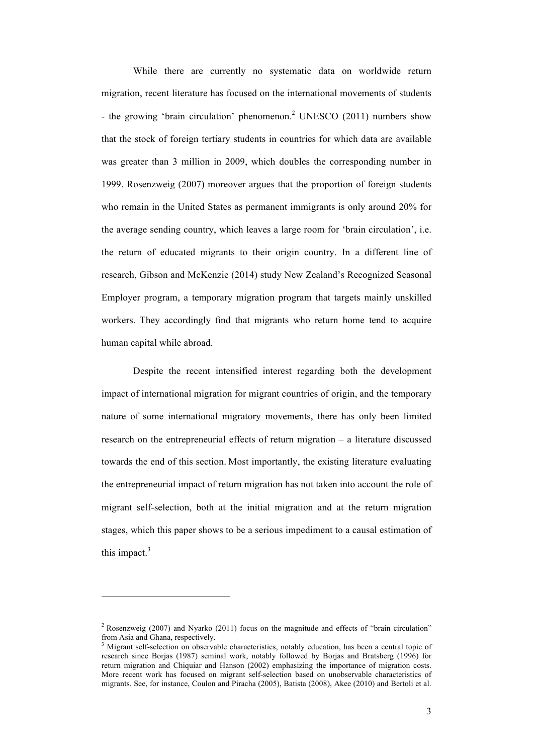While there are currently no systematic data on worldwide return migration, recent literature has focused on the international movements of students - the growing 'brain circulation' phenomenon. <sup>2</sup> UNESCO (2011) numbers show that the stock of foreign tertiary students in countries for which data are available was greater than 3 million in 2009, which doubles the corresponding number in 1999. Rosenzweig (2007) moreover argues that the proportion of foreign students who remain in the United States as permanent immigrants is only around 20% for the average sending country, which leaves a large room for 'brain circulation', i.e. the return of educated migrants to their origin country. In a different line of research, Gibson and McKenzie (2014) study New Zealand's Recognized Seasonal Employer program, a temporary migration program that targets mainly unskilled workers. They accordingly find that migrants who return home tend to acquire human capital while abroad.

Despite the recent intensified interest regarding both the development impact of international migration for migrant countries of origin, and the temporary nature of some international migratory movements, there has only been limited research on the entrepreneurial effects of return migration – a literature discussed towards the end of this section. Most importantly, the existing literature evaluating the entrepreneurial impact of return migration has not taken into account the role of migrant self-selection, both at the initial migration and at the return migration stages, which this paper shows to be a serious impediment to a causal estimation of this impact. $3$ 

 $\overline{a}$ 

<sup>&</sup>lt;sup>2</sup> Rosenzweig (2007) and Nyarko (2011) focus on the magnitude and effects of "brain circulation" from Asia and Ghana, respectively.<br> $3$  Migrant self-selection on observable characteristics, notably education, has been a central topic of

research since Borjas (1987) seminal work, notably followed by Borjas and Bratsberg (1996) for return migration and Chiquiar and Hanson (2002) emphasizing the importance of migration costs. More recent work has focused on migrant self-selection based on unobservable characteristics of migrants. See, for instance, Coulon and Piracha (2005), Batista (2008), Akee (2010) and Bertoli et al.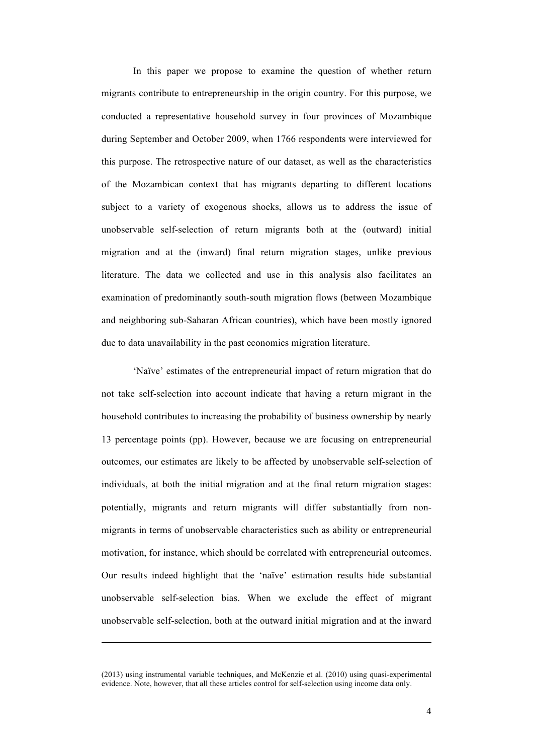In this paper we propose to examine the question of whether return migrants contribute to entrepreneurship in the origin country. For this purpose, we conducted a representative household survey in four provinces of Mozambique during September and October 2009, when 1766 respondents were interviewed for this purpose. The retrospective nature of our dataset, as well as the characteristics of the Mozambican context that has migrants departing to different locations subject to a variety of exogenous shocks, allows us to address the issue of unobservable self-selection of return migrants both at the (outward) initial migration and at the (inward) final return migration stages, unlike previous literature. The data we collected and use in this analysis also facilitates an examination of predominantly south-south migration flows (between Mozambique and neighboring sub-Saharan African countries), which have been mostly ignored due to data unavailability in the past economics migration literature.

'Naïve' estimates of the entrepreneurial impact of return migration that do not take self-selection into account indicate that having a return migrant in the household contributes to increasing the probability of business ownership by nearly 13 percentage points (pp). However, because we are focusing on entrepreneurial outcomes, our estimates are likely to be affected by unobservable self-selection of individuals, at both the initial migration and at the final return migration stages: potentially, migrants and return migrants will differ substantially from nonmigrants in terms of unobservable characteristics such as ability or entrepreneurial motivation, for instance, which should be correlated with entrepreneurial outcomes. Our results indeed highlight that the 'naïve' estimation results hide substantial unobservable self-selection bias. When we exclude the effect of migrant unobservable self-selection, both at the outward initial migration and at the inward

<sup>(2013)</sup> using instrumental variable techniques, and McKenzie et al. (2010) using quasi-experimental evidence. Note, however, that all these articles control for self-selection using income data only.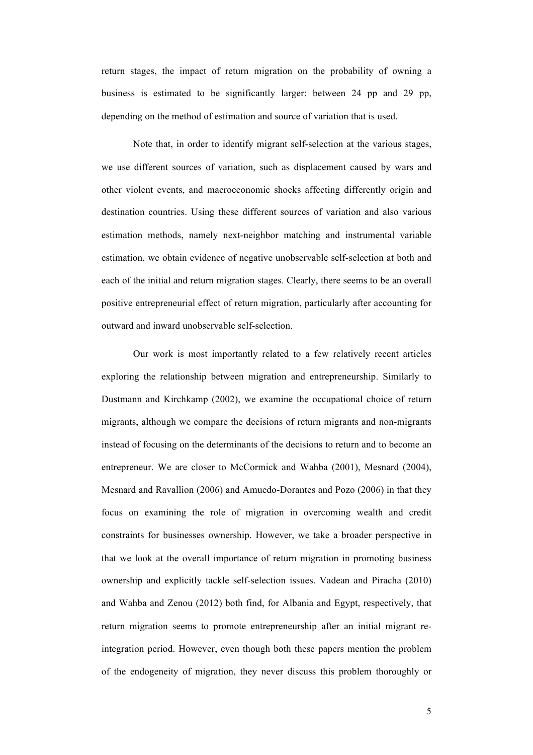return stages, the impact of return migration on the probability of owning a business is estimated to be significantly larger: between 24 pp and 29 pp, depending on the method of estimation and source of variation that is used.

Note that, in order to identify migrant self-selection at the various stages, we use different sources of variation, such as displacement caused by wars and other violent events, and macroeconomic shocks affecting differently origin and destination countries. Using these different sources of variation and also various estimation methods, namely next-neighbor matching and instrumental variable estimation, we obtain evidence of negative unobservable self-selection at both and each of the initial and return migration stages. Clearly, there seems to be an overall positive entrepreneurial effect of return migration, particularly after accounting for outward and inward unobservable self-selection.

Our work is most importantly related to a few relatively recent articles exploring the relationship between migration and entrepreneurship. Similarly to Dustmann and Kirchkamp (2002), we examine the occupational choice of return migrants, although we compare the decisions of return migrants and non-migrants instead of focusing on the determinants of the decisions to return and to become an entrepreneur. We are closer to McCormick and Wahba (2001), Mesnard (2004), Mesnard and Ravallion (2006) and Amuedo-Dorantes and Pozo (2006) in that they focus on examining the role of migration in overcoming wealth and credit constraints for businesses ownership. However, we take a broader perspective in that we look at the overall importance of return migration in promoting business ownership and explicitly tackle self-selection issues. Vadean and Piracha (2010) and Wahba and Zenou (2012) both find, for Albania and Egypt, respectively, that return migration seems to promote entrepreneurship after an initial migrant reintegration period. However, even though both these papers mention the problem of the endogeneity of migration, they never discuss this problem thoroughly or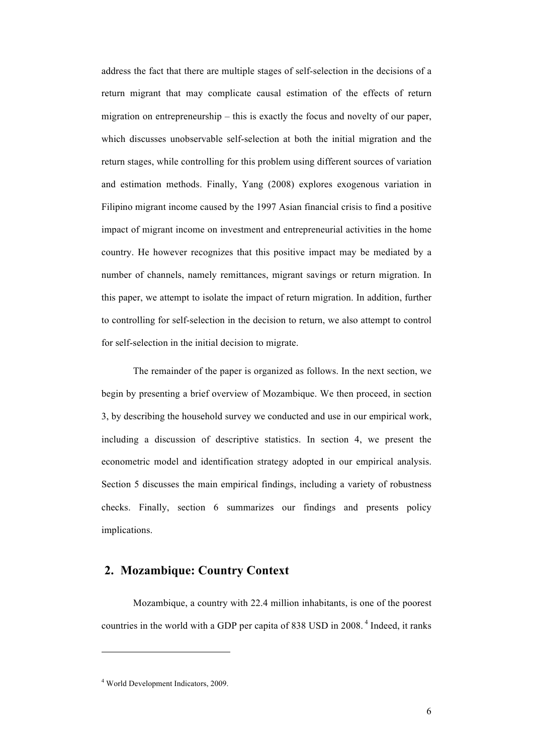address the fact that there are multiple stages of self-selection in the decisions of a return migrant that may complicate causal estimation of the effects of return migration on entrepreneurship – this is exactly the focus and novelty of our paper, which discusses unobservable self-selection at both the initial migration and the return stages, while controlling for this problem using different sources of variation and estimation methods. Finally, Yang (2008) explores exogenous variation in Filipino migrant income caused by the 1997 Asian financial crisis to find a positive impact of migrant income on investment and entrepreneurial activities in the home country. He however recognizes that this positive impact may be mediated by a number of channels, namely remittances, migrant savings or return migration. In this paper, we attempt to isolate the impact of return migration. In addition, further to controlling for self-selection in the decision to return, we also attempt to control for self-selection in the initial decision to migrate.

The remainder of the paper is organized as follows. In the next section, we begin by presenting a brief overview of Mozambique. We then proceed, in section 3, by describing the household survey we conducted and use in our empirical work, including a discussion of descriptive statistics. In section 4, we present the econometric model and identification strategy adopted in our empirical analysis. Section 5 discusses the main empirical findings, including a variety of robustness checks. Finally, section 6 summarizes our findings and presents policy implications.

## **2. Mozambique: Country Context**

Mozambique, a country with 22.4 million inhabitants, is one of the poorest countries in the world with a GDP per capita of 838 USD in 2008. <sup>4</sup> Indeed, it ranks

<sup>4</sup> World Development Indicators, 2009.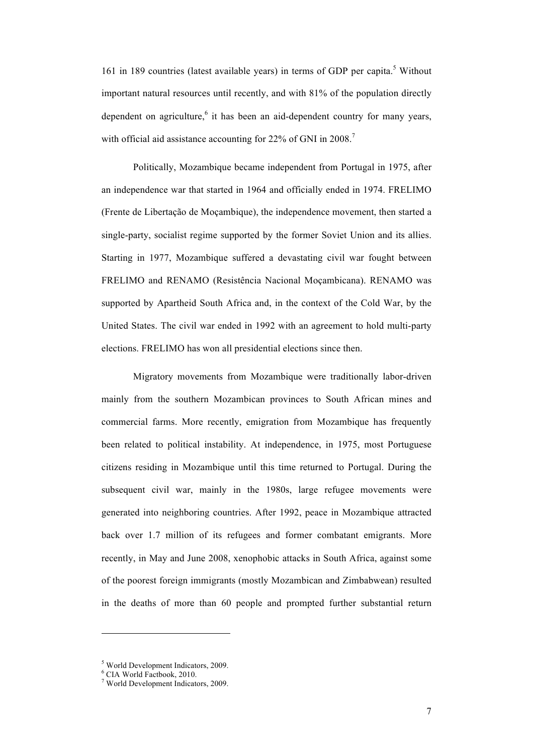161 in 189 countries (latest available years) in terms of GDP per capita.<sup>5</sup> Without important natural resources until recently, and with 81% of the population directly dependent on agriculture, $6$  it has been an aid-dependent country for many years, with official aid assistance accounting for 22% of GNI in 2008.<sup>7</sup>

Politically, Mozambique became independent from Portugal in 1975, after an independence war that started in 1964 and officially ended in 1974. FRELIMO (Frente de Libertação de Moçambique), the independence movement, then started a single-party, socialist regime supported by the former Soviet Union and its allies. Starting in 1977, Mozambique suffered a devastating civil war fought between FRELIMO and RENAMO (Resistência Nacional Moçambicana). RENAMO was supported by Apartheid South Africa and, in the context of the Cold War, by the United States. The civil war ended in 1992 with an agreement to hold multi-party elections. FRELIMO has won all presidential elections since then.

Migratory movements from Mozambique were traditionally labor-driven mainly from the southern Mozambican provinces to South African mines and commercial farms. More recently, emigration from Mozambique has frequently been related to political instability. At independence, in 1975, most Portuguese citizens residing in Mozambique until this time returned to Portugal. During the subsequent civil war, mainly in the 1980s, large refugee movements were generated into neighboring countries. After 1992, peace in Mozambique attracted back over 1.7 million of its refugees and former combatant emigrants. More recently, in May and June 2008, xenophobic attacks in South Africa, against some of the poorest foreign immigrants (mostly Mozambican and Zimbabwean) resulted in the deaths of more than 60 people and prompted further substantial return

<sup>&</sup>lt;sup>5</sup> World Development Indicators, 2009.

<sup>6</sup> CIA World Factbook, 2010.

<sup>7</sup> World Development Indicators, 2009.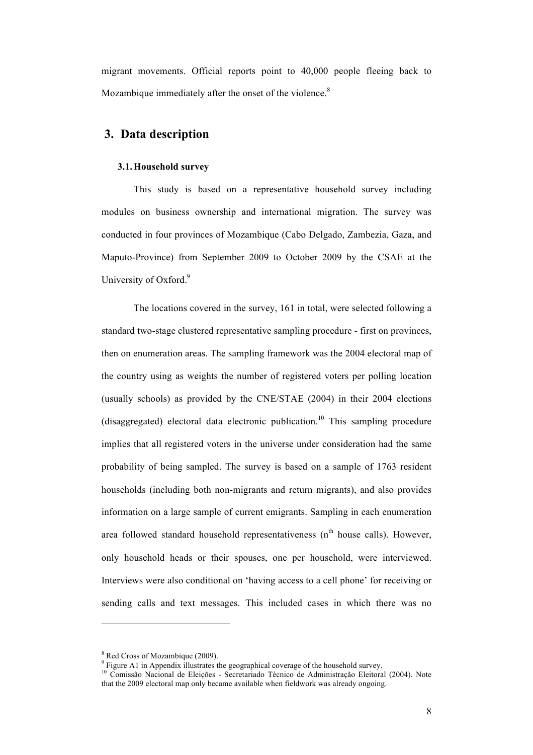migrant movements. Official reports point to 40,000 people fleeing back to Mozambique immediately after the onset of the violence.<sup>8</sup>

## **3. Data description**

#### **3.1.Household survey**

This study is based on a representative household survey including modules on business ownership and international migration. The survey was conducted in four provinces of Mozambique (Cabo Delgado, Zambezia, Gaza, and Maputo-Province) from September 2009 to October 2009 by the CSAE at the University of Oxford.<sup>9</sup>

The locations covered in the survey, 161 in total, were selected following a standard two-stage clustered representative sampling procedure - first on provinces, then on enumeration areas. The sampling framework was the 2004 electoral map of the country using as weights the number of registered voters per polling location (usually schools) as provided by the CNE/STAE (2004) in their 2004 elections (disaggregated) electoral data electronic publication.<sup>10</sup> This sampling procedure implies that all registered voters in the universe under consideration had the same probability of being sampled. The survey is based on a sample of 1763 resident households (including both non-migrants and return migrants), and also provides information on a large sample of current emigrants. Sampling in each enumeration area followed standard household representativeness  $(n<sup>th</sup>$  house calls). However, only household heads or their spouses, one per household, were interviewed. Interviews were also conditional on 'having access to a cell phone' for receiving or sending calls and text messages. This included cases in which there was no

<sup>&</sup>lt;sup>8</sup> Red Cross of Mozambique (2009).<br><sup>9</sup> Figure A1 in Appendix illustrates the geographical coverage of the household survey.

<sup>&</sup>lt;sup>10</sup> Comissão Nacional de Eleições - Secretariado Técnico de Administração Eleitoral (2004). Note that the 2009 electoral map only became available when fieldwork was already ongoing.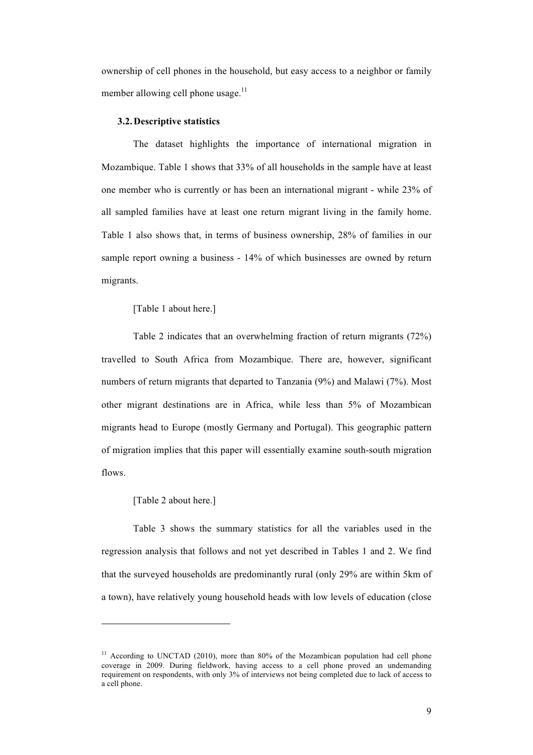ownership of cell phones in the household, but easy access to a neighbor or family member allowing cell phone usage. $^{11}$ 

#### **3.2.Descriptive statistics**

The dataset highlights the importance of international migration in Mozambique. Table 1 shows that 33% of all households in the sample have at least one member who is currently or has been an international migrant - while 23% of all sampled families have at least one return migrant living in the family home. Table 1 also shows that, in terms of business ownership, 28% of families in our sample report owning a business - 14% of which businesses are owned by return migrants.

[Table 1 about here.]

Table 2 indicates that an overwhelming fraction of return migrants (72%) travelled to South Africa from Mozambique. There are, however, significant numbers of return migrants that departed to Tanzania (9%) and Malawi (7%). Most other migrant destinations are in Africa, while less than 5% of Mozambican migrants head to Europe (mostly Germany and Portugal). This geographic pattern of migration implies that this paper will essentially examine south-south migration flows.

#### [Table 2 about here.]

l

Table 3 shows the summary statistics for all the variables used in the regression analysis that follows and not yet described in Tables 1 and 2. We find that the surveyed households are predominantly rural (only 29% are within 5km of a town), have relatively young household heads with low levels of education (close

<sup>&</sup>lt;sup>11</sup> According to UNCTAD (2010), more than 80% of the Mozambican population had cell phone coverage in 2009. During fieldwork, having access to a cell phone proved an undemanding requirement on respondents, with only 3% of interviews not being completed due to lack of access to a cell phone.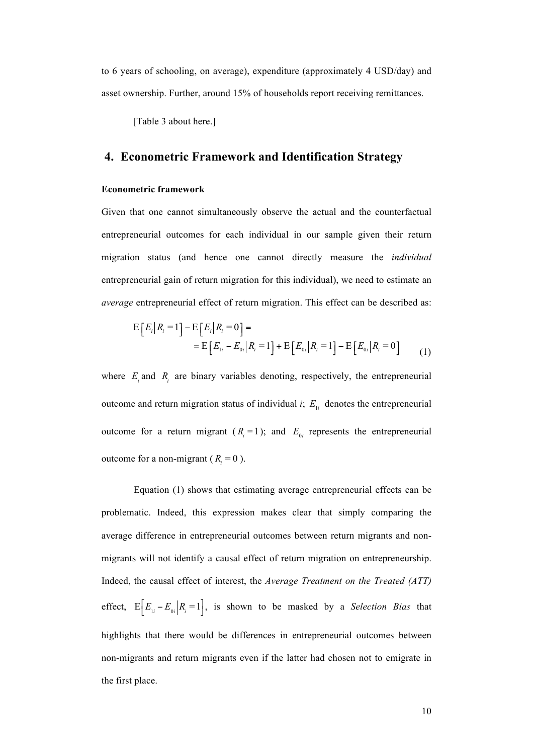to 6 years of schooling, on average), expenditure (approximately 4 USD/day) and asset ownership. Further, around 15% of households report receiving remittances.

[Table 3 about here.]

## **4. Econometric Framework and Identification Strategy**

#### **Econometric framework**

Given that one cannot simultaneously observe the actual and the counterfactual entrepreneurial outcomes for each individual in our sample given their return migration status (and hence one cannot directly measure the *individual* entrepreneurial gain of return migration for this individual), we need to estimate an *average* entrepreneurial effect of return migration. This effect can be described as:

$$
E\left[E_i\big|R_i=1\right] - E\left[E_i\big|R_i=0\right] =
$$
  
= 
$$
E\left[E_{1i} - E_{0i}\big|R_i=1\right] + E\left[E_{0i}\big|R_i=1\right] - E\left[E_{0i}\big|R_i=0\right]
$$
 (1)

where  $E_i$  and  $R_i$  are binary variables denoting, respectively, the entrepreneurial outcome and return migration status of individual *i*;  $E_{1i}$  denotes the entrepreneurial outcome for a return migrant  $(R<sub>i</sub> = 1)$ ; and  $E<sub>0i</sub>$  represents the entrepreneurial outcome for a non-migrant ( $R_i = 0$ ).

Equation (1) shows that estimating average entrepreneurial effects can be problematic. Indeed, this expression makes clear that simply comparing the average difference in entrepreneurial outcomes between return migrants and nonmigrants will not identify a causal effect of return migration on entrepreneurship. Indeed, the causal effect of interest, the *Average Treatment on the Treated (ATT)* effect,  $E\left[E_{1i} - E_{0i} | R_i = 1\right]$ , is shown to be masked by a *Selection Bias* that highlights that there would be differences in entrepreneurial outcomes between non-migrants and return migrants even if the latter had chosen not to emigrate in the first place.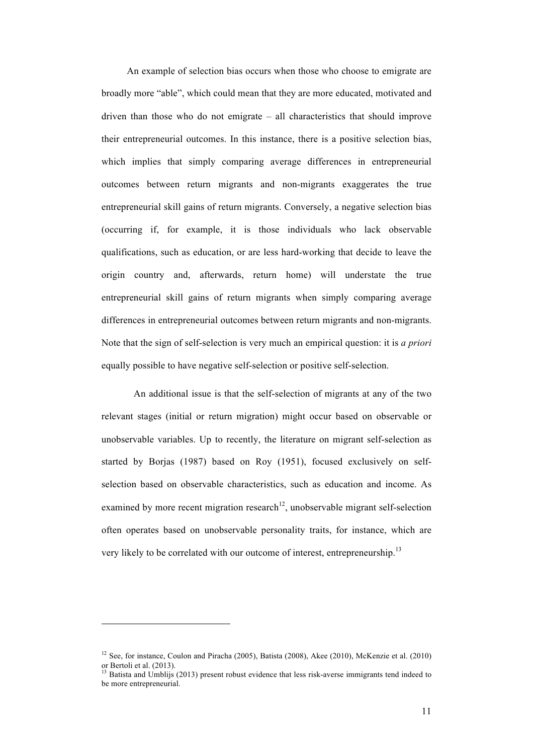An example of selection bias occurs when those who choose to emigrate are broadly more "able", which could mean that they are more educated, motivated and driven than those who do not emigrate – all characteristics that should improve their entrepreneurial outcomes. In this instance, there is a positive selection bias, which implies that simply comparing average differences in entrepreneurial outcomes between return migrants and non-migrants exaggerates the true entrepreneurial skill gains of return migrants. Conversely, a negative selection bias (occurring if, for example, it is those individuals who lack observable qualifications, such as education, or are less hard-working that decide to leave the origin country and, afterwards, return home) will understate the true entrepreneurial skill gains of return migrants when simply comparing average differences in entrepreneurial outcomes between return migrants and non-migrants. Note that the sign of self-selection is very much an empirical question: it is *a priori* equally possible to have negative self-selection or positive self-selection.

An additional issue is that the self-selection of migrants at any of the two relevant stages (initial or return migration) might occur based on observable or unobservable variables. Up to recently, the literature on migrant self-selection as started by Borjas (1987) based on Roy (1951), focused exclusively on selfselection based on observable characteristics, such as education and income. As examined by more recent migration research<sup>12</sup>, unobservable migrant self-selection often operates based on unobservable personality traits, for instance, which are very likely to be correlated with our outcome of interest, entrepreneurship.<sup>13</sup>

<sup>&</sup>lt;sup>12</sup> See, for instance, Coulon and Piracha (2005), Batista (2008), Akee (2010), McKenzie et al. (2010) or Bertoli et al. (2013).

Batista and Umblijs (2013) present robust evidence that less risk-averse immigrants tend indeed to be more entrepreneurial.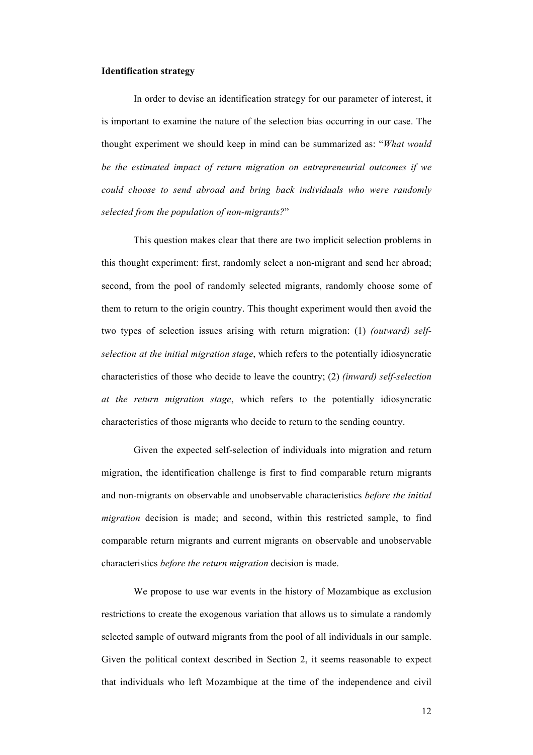#### **Identification strategy**

In order to devise an identification strategy for our parameter of interest, it is important to examine the nature of the selection bias occurring in our case. The thought experiment we should keep in mind can be summarized as: "*What would be the estimated impact of return migration on entrepreneurial outcomes if we could choose to send abroad and bring back individuals who were randomly selected from the population of non-migrants?*"

This question makes clear that there are two implicit selection problems in this thought experiment: first, randomly select a non-migrant and send her abroad; second, from the pool of randomly selected migrants, randomly choose some of them to return to the origin country. This thought experiment would then avoid the two types of selection issues arising with return migration: (1) *(outward) selfselection at the initial migration stage*, which refers to the potentially idiosyncratic characteristics of those who decide to leave the country; (2) *(inward) self-selection at the return migration stage*, which refers to the potentially idiosyncratic characteristics of those migrants who decide to return to the sending country.

Given the expected self-selection of individuals into migration and return migration, the identification challenge is first to find comparable return migrants and non-migrants on observable and unobservable characteristics *before the initial migration* decision is made; and second, within this restricted sample, to find comparable return migrants and current migrants on observable and unobservable characteristics *before the return migration* decision is made.

We propose to use war events in the history of Mozambique as exclusion restrictions to create the exogenous variation that allows us to simulate a randomly selected sample of outward migrants from the pool of all individuals in our sample. Given the political context described in Section 2, it seems reasonable to expect that individuals who left Mozambique at the time of the independence and civil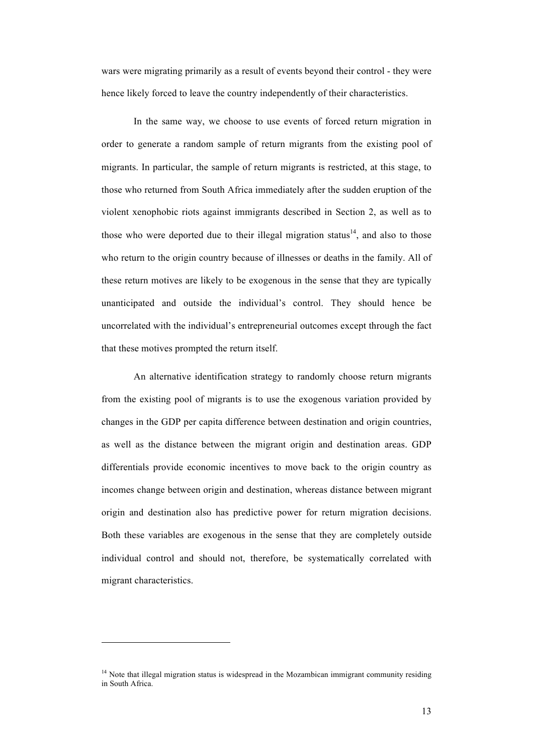wars were migrating primarily as a result of events beyond their control - they were hence likely forced to leave the country independently of their characteristics.

In the same way, we choose to use events of forced return migration in order to generate a random sample of return migrants from the existing pool of migrants. In particular, the sample of return migrants is restricted, at this stage, to those who returned from South Africa immediately after the sudden eruption of the violent xenophobic riots against immigrants described in Section 2, as well as to those who were deported due to their illegal migration status<sup>14</sup>, and also to those who return to the origin country because of illnesses or deaths in the family. All of these return motives are likely to be exogenous in the sense that they are typically unanticipated and outside the individual's control. They should hence be uncorrelated with the individual's entrepreneurial outcomes except through the fact that these motives prompted the return itself.

An alternative identification strategy to randomly choose return migrants from the existing pool of migrants is to use the exogenous variation provided by changes in the GDP per capita difference between destination and origin countries, as well as the distance between the migrant origin and destination areas. GDP differentials provide economic incentives to move back to the origin country as incomes change between origin and destination, whereas distance between migrant origin and destination also has predictive power for return migration decisions. Both these variables are exogenous in the sense that they are completely outside individual control and should not, therefore, be systematically correlated with migrant characteristics.

<sup>&</sup>lt;sup>14</sup> Note that illegal migration status is widespread in the Mozambican immigrant community residing in South Africa.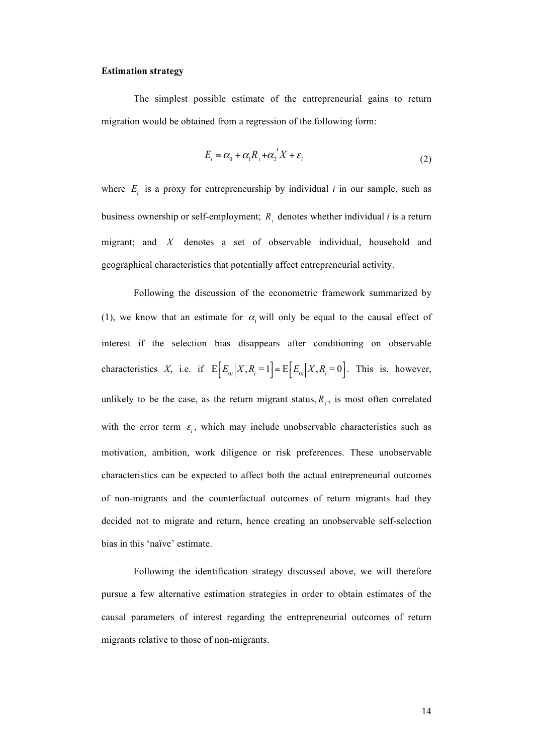#### **Estimation strategy**

The simplest possible estimate of the entrepreneurial gains to return migration would be obtained from a regression of the following form:

$$
E_i = \alpha_0 + \alpha_1 R_i + \alpha_2' X + \varepsilon_i
$$
\n<sup>(2)</sup>

where  $E_i$  is a proxy for entrepreneurship by individual *i* in our sample, such as business ownership or self-employment; *Ri* denotes whether individual *i* is a return migrant; and *X* denotes a set of observable individual, household and geographical characteristics that potentially affect entrepreneurial activity.

Following the discussion of the econometric framework summarized by (1), we know that an estimate for  $\alpha$  will only be equal to the causal effect of interest if the selection bias disappears after conditioning on observable characteristics *X*, i.e. if  $E\left[E_{0i} | X, R_i = 1\right] = E\left[E_{0i} | X, R_i = 0\right]$ . This is, however, unlikely to be the case, as the return migrant status,  $R_i$ , is most often correlated with the error term  $\varepsilon$ <sub>i</sub>, which may include unobservable characteristics such as motivation, ambition, work diligence or risk preferences. These unobservable characteristics can be expected to affect both the actual entrepreneurial outcomes of non-migrants and the counterfactual outcomes of return migrants had they decided not to migrate and return, hence creating an unobservable self-selection bias in this 'naïve' estimate.

Following the identification strategy discussed above, we will therefore pursue a few alternative estimation strategies in order to obtain estimates of the causal parameters of interest regarding the entrepreneurial outcomes of return migrants relative to those of non-migrants.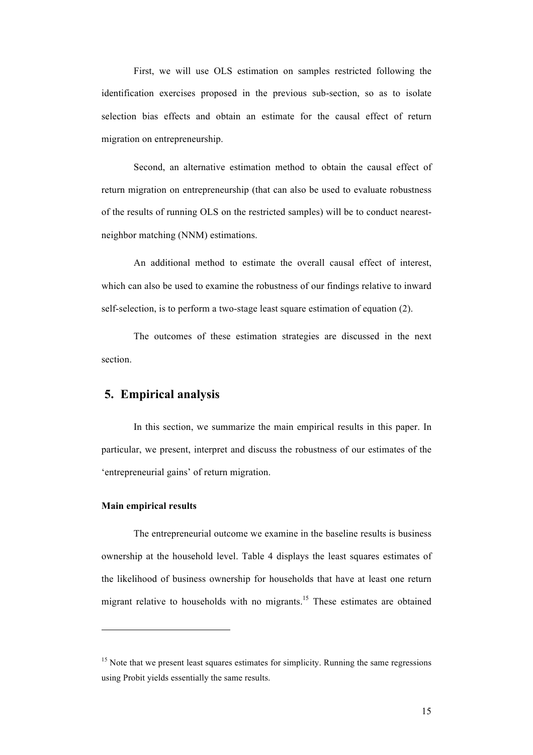First, we will use OLS estimation on samples restricted following the identification exercises proposed in the previous sub-section, so as to isolate selection bias effects and obtain an estimate for the causal effect of return migration on entrepreneurship.

Second, an alternative estimation method to obtain the causal effect of return migration on entrepreneurship (that can also be used to evaluate robustness of the results of running OLS on the restricted samples) will be to conduct nearestneighbor matching (NNM) estimations.

An additional method to estimate the overall causal effect of interest, which can also be used to examine the robustness of our findings relative to inward self-selection, is to perform a two-stage least square estimation of equation (2).

The outcomes of these estimation strategies are discussed in the next section.

### **5. Empirical analysis**

In this section, we summarize the main empirical results in this paper. In particular, we present, interpret and discuss the robustness of our estimates of the 'entrepreneurial gains' of return migration.

#### **Main empirical results**

 $\overline{a}$ 

The entrepreneurial outcome we examine in the baseline results is business ownership at the household level. Table 4 displays the least squares estimates of the likelihood of business ownership for households that have at least one return migrant relative to households with no migrants.<sup>15</sup> These estimates are obtained

 $15$  Note that we present least squares estimates for simplicity. Running the same regressions using Probit yields essentially the same results.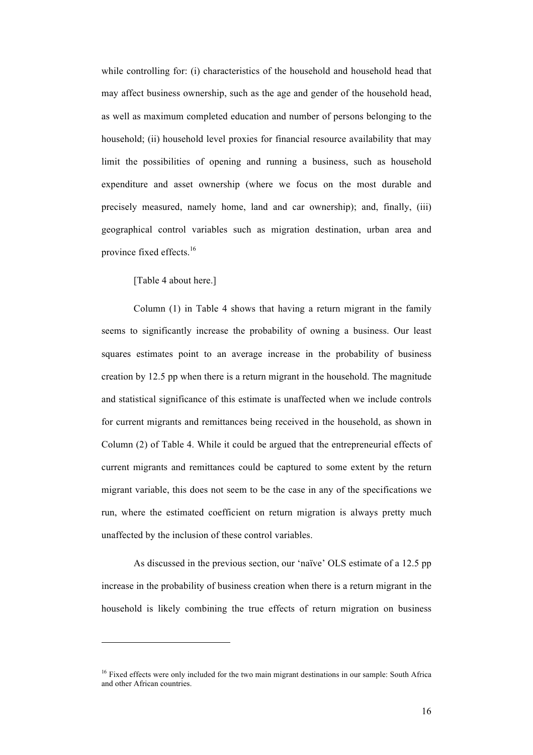while controlling for: (i) characteristics of the household and household head that may affect business ownership, such as the age and gender of the household head, as well as maximum completed education and number of persons belonging to the household; (ii) household level proxies for financial resource availability that may limit the possibilities of opening and running a business, such as household expenditure and asset ownership (where we focus on the most durable and precisely measured, namely home, land and car ownership); and, finally, (iii) geographical control variables such as migration destination, urban area and province fixed effects.<sup>16</sup>

[Table 4 about here.]

l

Column (1) in Table 4 shows that having a return migrant in the family seems to significantly increase the probability of owning a business. Our least squares estimates point to an average increase in the probability of business creation by 12.5 pp when there is a return migrant in the household. The magnitude and statistical significance of this estimate is unaffected when we include controls for current migrants and remittances being received in the household, as shown in Column (2) of Table 4. While it could be argued that the entrepreneurial effects of current migrants and remittances could be captured to some extent by the return migrant variable, this does not seem to be the case in any of the specifications we run, where the estimated coefficient on return migration is always pretty much unaffected by the inclusion of these control variables.

As discussed in the previous section, our 'naïve' OLS estimate of a 12.5 pp increase in the probability of business creation when there is a return migrant in the household is likely combining the true effects of return migration on business

<sup>&</sup>lt;sup>16</sup> Fixed effects were only included for the two main migrant destinations in our sample: South Africa and other African countries.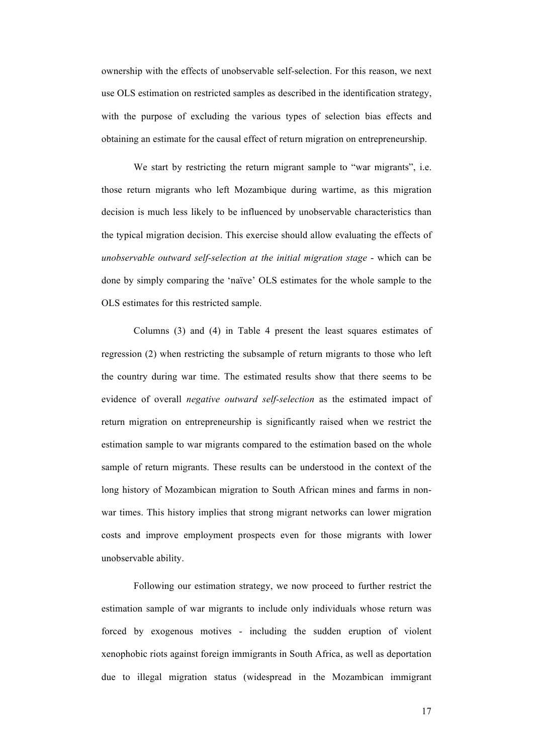ownership with the effects of unobservable self-selection. For this reason, we next use OLS estimation on restricted samples as described in the identification strategy, with the purpose of excluding the various types of selection bias effects and obtaining an estimate for the causal effect of return migration on entrepreneurship.

We start by restricting the return migrant sample to "war migrants", i.e. those return migrants who left Mozambique during wartime, as this migration decision is much less likely to be influenced by unobservable characteristics than the typical migration decision. This exercise should allow evaluating the effects of *unobservable outward self-selection at the initial migration stage* - which can be done by simply comparing the 'naïve' OLS estimates for the whole sample to the OLS estimates for this restricted sample.

Columns (3) and (4) in Table 4 present the least squares estimates of regression (2) when restricting the subsample of return migrants to those who left the country during war time. The estimated results show that there seems to be evidence of overall *negative outward self-selection* as the estimated impact of return migration on entrepreneurship is significantly raised when we restrict the estimation sample to war migrants compared to the estimation based on the whole sample of return migrants. These results can be understood in the context of the long history of Mozambican migration to South African mines and farms in nonwar times. This history implies that strong migrant networks can lower migration costs and improve employment prospects even for those migrants with lower unobservable ability.

Following our estimation strategy, we now proceed to further restrict the estimation sample of war migrants to include only individuals whose return was forced by exogenous motives - including the sudden eruption of violent xenophobic riots against foreign immigrants in South Africa, as well as deportation due to illegal migration status (widespread in the Mozambican immigrant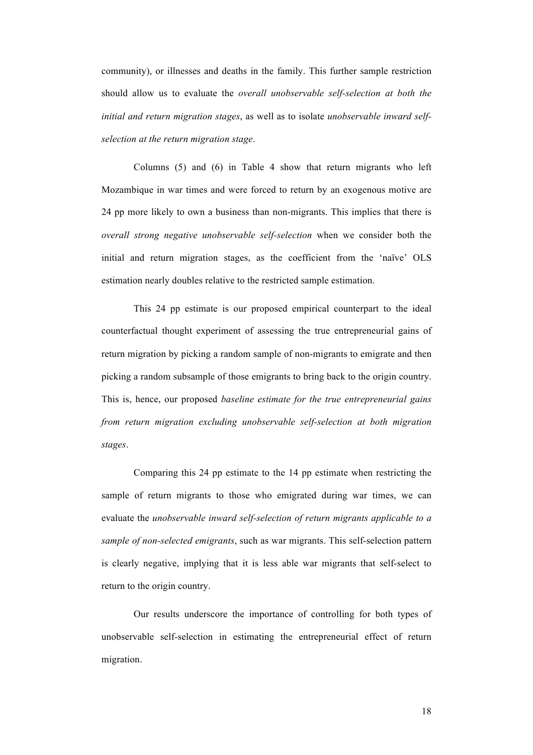community), or illnesses and deaths in the family. This further sample restriction should allow us to evaluate the *overall unobservable self-selection at both the initial and return migration stages*, as well as to isolate *unobservable inward selfselection at the return migration stage*.

Columns (5) and (6) in Table 4 show that return migrants who left Mozambique in war times and were forced to return by an exogenous motive are 24 pp more likely to own a business than non-migrants. This implies that there is *overall strong negative unobservable self-selection* when we consider both the initial and return migration stages, as the coefficient from the 'naïve' OLS estimation nearly doubles relative to the restricted sample estimation.

This 24 pp estimate is our proposed empirical counterpart to the ideal counterfactual thought experiment of assessing the true entrepreneurial gains of return migration by picking a random sample of non-migrants to emigrate and then picking a random subsample of those emigrants to bring back to the origin country. This is, hence, our proposed *baseline estimate for the true entrepreneurial gains from return migration excluding unobservable self-selection at both migration stages*.

Comparing this 24 pp estimate to the 14 pp estimate when restricting the sample of return migrants to those who emigrated during war times, we can evaluate the *unobservable inward self-selection of return migrants applicable to a sample of non-selected emigrants*, such as war migrants. This self-selection pattern is clearly negative, implying that it is less able war migrants that self-select to return to the origin country.

Our results underscore the importance of controlling for both types of unobservable self-selection in estimating the entrepreneurial effect of return migration.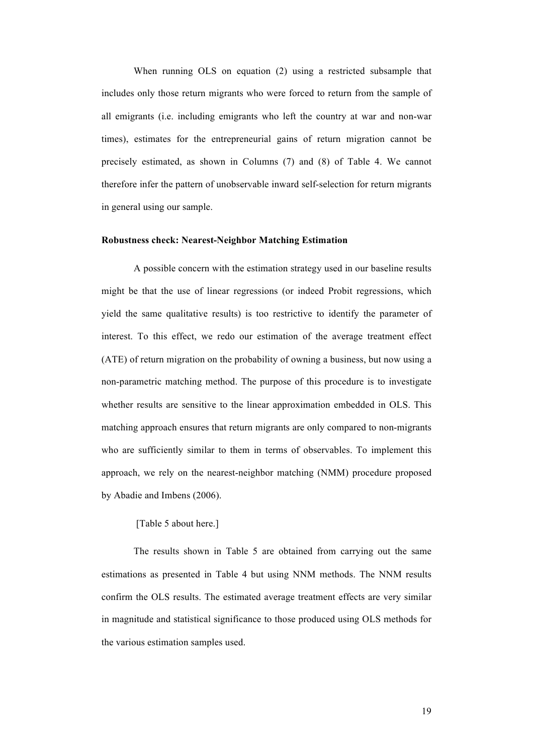When running OLS on equation (2) using a restricted subsample that includes only those return migrants who were forced to return from the sample of all emigrants (i.e. including emigrants who left the country at war and non-war times), estimates for the entrepreneurial gains of return migration cannot be precisely estimated, as shown in Columns (7) and (8) of Table 4. We cannot therefore infer the pattern of unobservable inward self-selection for return migrants in general using our sample.

#### **Robustness check: Nearest-Neighbor Matching Estimation**

A possible concern with the estimation strategy used in our baseline results might be that the use of linear regressions (or indeed Probit regressions, which yield the same qualitative results) is too restrictive to identify the parameter of interest. To this effect, we redo our estimation of the average treatment effect (ATE) of return migration on the probability of owning a business, but now using a non-parametric matching method. The purpose of this procedure is to investigate whether results are sensitive to the linear approximation embedded in OLS. This matching approach ensures that return migrants are only compared to non-migrants who are sufficiently similar to them in terms of observables. To implement this approach, we rely on the nearest-neighbor matching (NMM) procedure proposed by Abadie and Imbens (2006).

#### [Table 5 about here.]

The results shown in Table 5 are obtained from carrying out the same estimations as presented in Table 4 but using NNM methods. The NNM results confirm the OLS results. The estimated average treatment effects are very similar in magnitude and statistical significance to those produced using OLS methods for the various estimation samples used.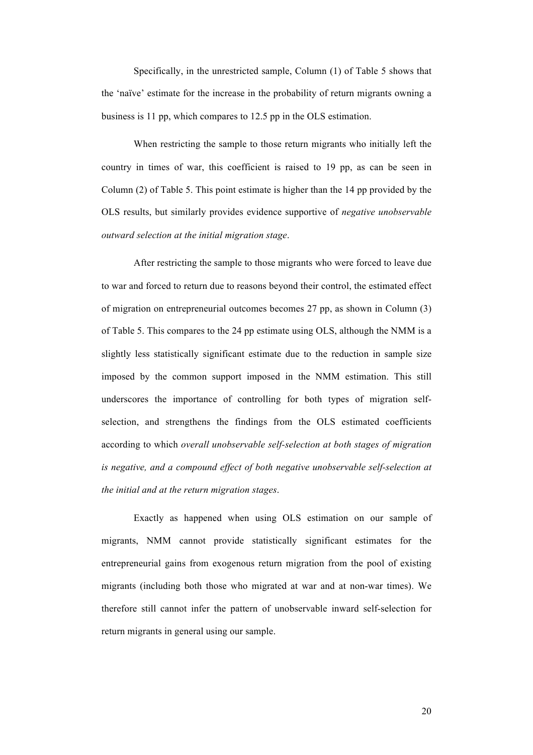Specifically, in the unrestricted sample, Column (1) of Table 5 shows that the 'naïve' estimate for the increase in the probability of return migrants owning a business is 11 pp, which compares to 12.5 pp in the OLS estimation.

When restricting the sample to those return migrants who initially left the country in times of war, this coefficient is raised to 19 pp, as can be seen in Column (2) of Table 5. This point estimate is higher than the 14 pp provided by the OLS results, but similarly provides evidence supportive of *negative unobservable outward selection at the initial migration stage*.

After restricting the sample to those migrants who were forced to leave due to war and forced to return due to reasons beyond their control, the estimated effect of migration on entrepreneurial outcomes becomes 27 pp, as shown in Column (3) of Table 5. This compares to the 24 pp estimate using OLS, although the NMM is a slightly less statistically significant estimate due to the reduction in sample size imposed by the common support imposed in the NMM estimation. This still underscores the importance of controlling for both types of migration selfselection, and strengthens the findings from the OLS estimated coefficients according to which *overall unobservable self-selection at both stages of migration is negative, and a compound effect of both negative unobservable self-selection at the initial and at the return migration stages*.

Exactly as happened when using OLS estimation on our sample of migrants, NMM cannot provide statistically significant estimates for the entrepreneurial gains from exogenous return migration from the pool of existing migrants (including both those who migrated at war and at non-war times). We therefore still cannot infer the pattern of unobservable inward self-selection for return migrants in general using our sample.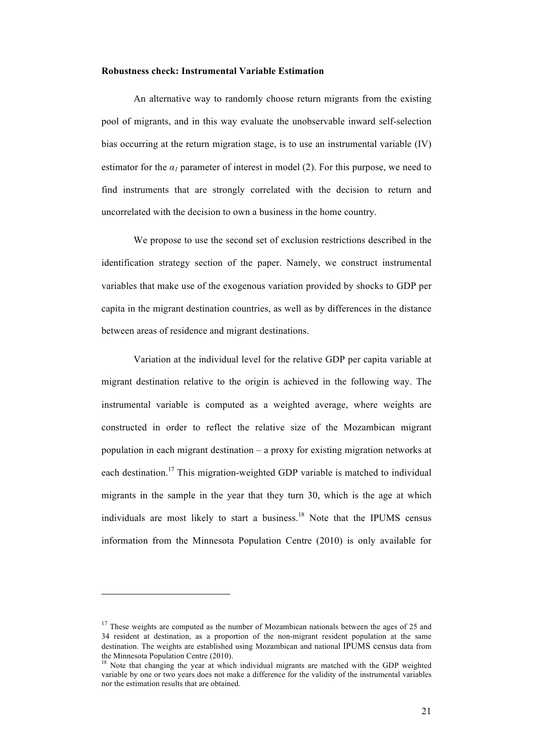#### **Robustness check: Instrumental Variable Estimation**

An alternative way to randomly choose return migrants from the existing pool of migrants, and in this way evaluate the unobservable inward self-selection bias occurring at the return migration stage, is to use an instrumental variable (IV) estimator for the  $\alpha_l$  parameter of interest in model (2). For this purpose, we need to find instruments that are strongly correlated with the decision to return and uncorrelated with the decision to own a business in the home country.

We propose to use the second set of exclusion restrictions described in the identification strategy section of the paper. Namely, we construct instrumental variables that make use of the exogenous variation provided by shocks to GDP per capita in the migrant destination countries, as well as by differences in the distance between areas of residence and migrant destinations.

Variation at the individual level for the relative GDP per capita variable at migrant destination relative to the origin is achieved in the following way. The instrumental variable is computed as a weighted average, where weights are constructed in order to reflect the relative size of the Mozambican migrant population in each migrant destination – a proxy for existing migration networks at each destination.<sup>17</sup> This migration-weighted GDP variable is matched to individual migrants in the sample in the year that they turn 30, which is the age at which individuals are most likely to start a business. <sup>18</sup> Note that the IPUMS census information from the Minnesota Population Centre (2010) is only available for

 $17$  These weights are computed as the number of Mozambican nationals between the ages of 25 and 34 resident at destination, as a proportion of the non-migrant resident population at the same destination. The weights are established using Mozambican and national IPUMS census data from the Minnesota Population Centre (2010).

<sup>18</sup> Note that changing the year at which individual migrants are matched with the GDP weighted variable by one or two years does not make a difference for the validity of the instrumental variables nor the estimation results that are obtained.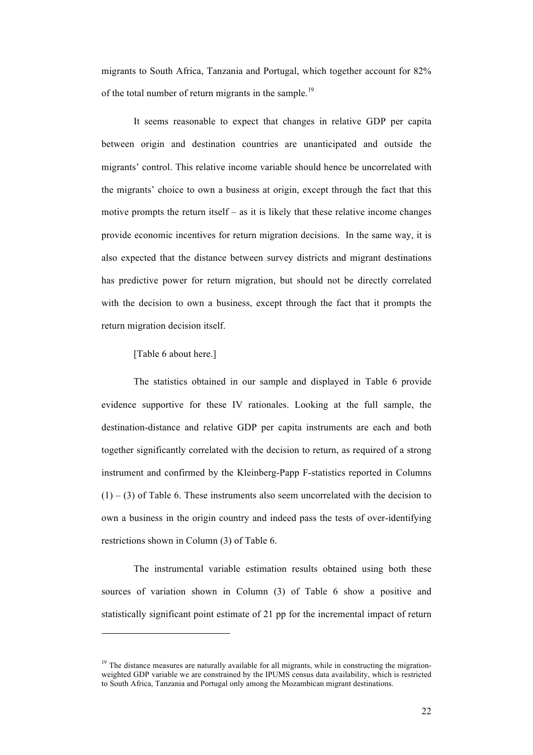migrants to South Africa, Tanzania and Portugal, which together account for 82% of the total number of return migrants in the sample.<sup>19</sup>

It seems reasonable to expect that changes in relative GDP per capita between origin and destination countries are unanticipated and outside the migrants' control. This relative income variable should hence be uncorrelated with the migrants' choice to own a business at origin, except through the fact that this motive prompts the return itself – as it is likely that these relative income changes provide economic incentives for return migration decisions. In the same way, it is also expected that the distance between survey districts and migrant destinations has predictive power for return migration, but should not be directly correlated with the decision to own a business, except through the fact that it prompts the return migration decision itself.

#### [Table 6 about here.]

l

The statistics obtained in our sample and displayed in Table 6 provide evidence supportive for these IV rationales. Looking at the full sample, the destination-distance and relative GDP per capita instruments are each and both together significantly correlated with the decision to return, as required of a strong instrument and confirmed by the Kleinberg-Papp F-statistics reported in Columns  $(1) - (3)$  of Table 6. These instruments also seem uncorrelated with the decision to own a business in the origin country and indeed pass the tests of over-identifying restrictions shown in Column (3) of Table 6.

The instrumental variable estimation results obtained using both these sources of variation shown in Column (3) of Table 6 show a positive and statistically significant point estimate of 21 pp for the incremental impact of return

<sup>&</sup>lt;sup>19</sup> The distance measures are naturally available for all migrants, while in constructing the migrationweighted GDP variable we are constrained by the IPUMS census data availability, which is restricted to South Africa, Tanzania and Portugal only among the Mozambican migrant destinations.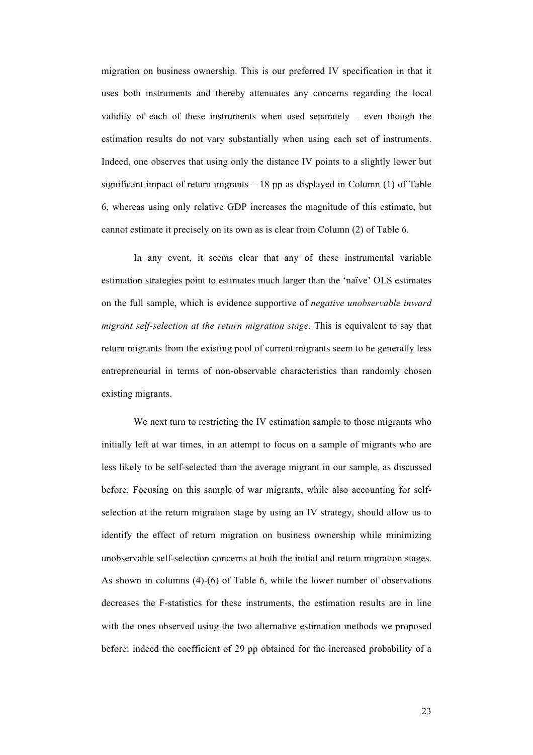migration on business ownership. This is our preferred IV specification in that it uses both instruments and thereby attenuates any concerns regarding the local validity of each of these instruments when used separately – even though the estimation results do not vary substantially when using each set of instruments. Indeed, one observes that using only the distance IV points to a slightly lower but significant impact of return migrants  $-18$  pp as displayed in Column (1) of Table 6, whereas using only relative GDP increases the magnitude of this estimate, but cannot estimate it precisely on its own as is clear from Column (2) of Table 6.

In any event, it seems clear that any of these instrumental variable estimation strategies point to estimates much larger than the 'naïve' OLS estimates on the full sample, which is evidence supportive of *negative unobservable inward migrant self-selection at the return migration stage*. This is equivalent to say that return migrants from the existing pool of current migrants seem to be generally less entrepreneurial in terms of non-observable characteristics than randomly chosen existing migrants.

We next turn to restricting the IV estimation sample to those migrants who initially left at war times, in an attempt to focus on a sample of migrants who are less likely to be self-selected than the average migrant in our sample, as discussed before. Focusing on this sample of war migrants, while also accounting for selfselection at the return migration stage by using an IV strategy, should allow us to identify the effect of return migration on business ownership while minimizing unobservable self-selection concerns at both the initial and return migration stages. As shown in columns (4)-(6) of Table 6, while the lower number of observations decreases the F-statistics for these instruments, the estimation results are in line with the ones observed using the two alternative estimation methods we proposed before: indeed the coefficient of 29 pp obtained for the increased probability of a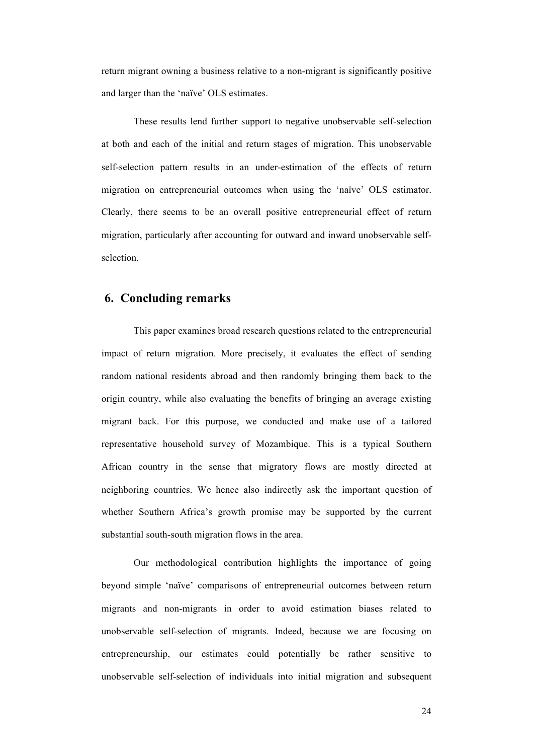return migrant owning a business relative to a non-migrant is significantly positive and larger than the 'naïve' OLS estimates.

These results lend further support to negative unobservable self-selection at both and each of the initial and return stages of migration. This unobservable self-selection pattern results in an under-estimation of the effects of return migration on entrepreneurial outcomes when using the 'naïve' OLS estimator. Clearly, there seems to be an overall positive entrepreneurial effect of return migration, particularly after accounting for outward and inward unobservable selfselection.

### **6. Concluding remarks**

This paper examines broad research questions related to the entrepreneurial impact of return migration. More precisely, it evaluates the effect of sending random national residents abroad and then randomly bringing them back to the origin country, while also evaluating the benefits of bringing an average existing migrant back. For this purpose, we conducted and make use of a tailored representative household survey of Mozambique. This is a typical Southern African country in the sense that migratory flows are mostly directed at neighboring countries. We hence also indirectly ask the important question of whether Southern Africa's growth promise may be supported by the current substantial south-south migration flows in the area.

Our methodological contribution highlights the importance of going beyond simple 'naïve' comparisons of entrepreneurial outcomes between return migrants and non-migrants in order to avoid estimation biases related to unobservable self-selection of migrants. Indeed, because we are focusing on entrepreneurship, our estimates could potentially be rather sensitive to unobservable self-selection of individuals into initial migration and subsequent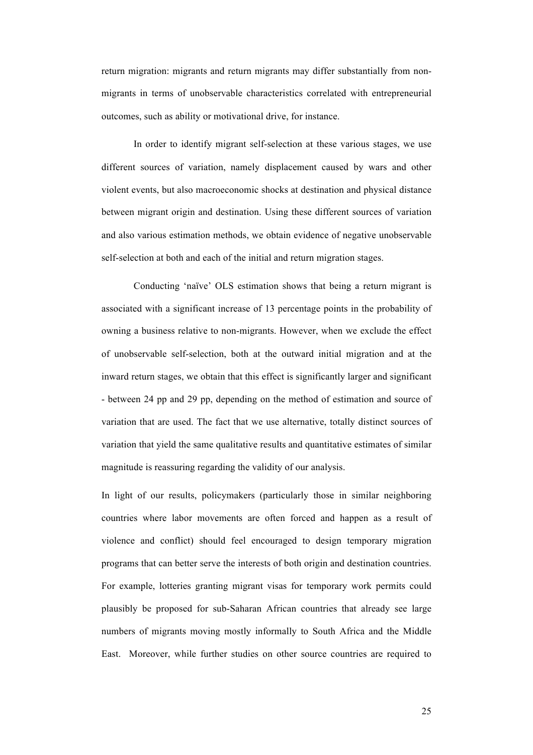return migration: migrants and return migrants may differ substantially from nonmigrants in terms of unobservable characteristics correlated with entrepreneurial outcomes, such as ability or motivational drive, for instance.

In order to identify migrant self-selection at these various stages, we use different sources of variation, namely displacement caused by wars and other violent events, but also macroeconomic shocks at destination and physical distance between migrant origin and destination. Using these different sources of variation and also various estimation methods, we obtain evidence of negative unobservable self-selection at both and each of the initial and return migration stages.

Conducting 'naïve' OLS estimation shows that being a return migrant is associated with a significant increase of 13 percentage points in the probability of owning a business relative to non-migrants. However, when we exclude the effect of unobservable self-selection, both at the outward initial migration and at the inward return stages, we obtain that this effect is significantly larger and significant - between 24 pp and 29 pp, depending on the method of estimation and source of variation that are used. The fact that we use alternative, totally distinct sources of variation that yield the same qualitative results and quantitative estimates of similar magnitude is reassuring regarding the validity of our analysis.

In light of our results, policymakers (particularly those in similar neighboring countries where labor movements are often forced and happen as a result of violence and conflict) should feel encouraged to design temporary migration programs that can better serve the interests of both origin and destination countries. For example, lotteries granting migrant visas for temporary work permits could plausibly be proposed for sub-Saharan African countries that already see large numbers of migrants moving mostly informally to South Africa and the Middle East. Moreover, while further studies on other source countries are required to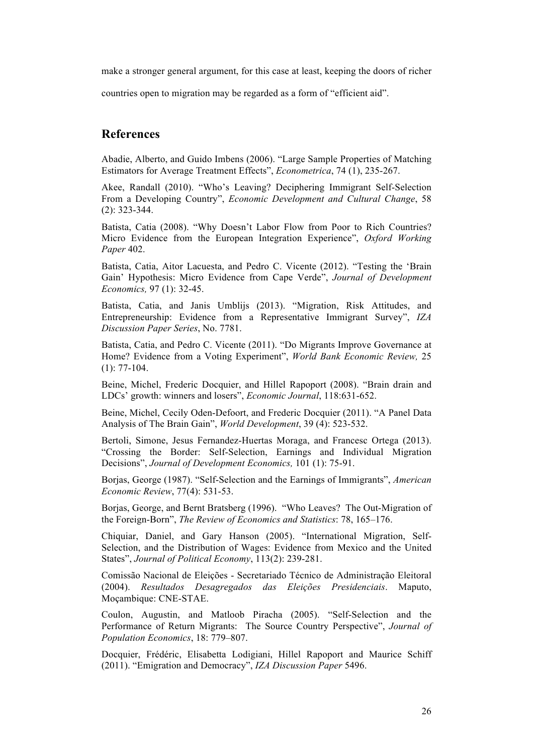make a stronger general argument, for this case at least, keeping the doors of richer

countries open to migration may be regarded as a form of "efficient aid".

## **References**

Abadie, Alberto, and Guido Imbens (2006). "Large Sample Properties of Matching Estimators for Average Treatment Effects", *Econometrica*, 74 (1), 235-267.

Akee, Randall (2010). "Who's Leaving? Deciphering Immigrant Self-Selection From a Developing Country", *Economic Development and Cultural Change*, 58 (2): 323-344.

Batista, Catia (2008). "Why Doesn't Labor Flow from Poor to Rich Countries? Micro Evidence from the European Integration Experience", *Oxford Working Paper* 402.

Batista, Catia, Aitor Lacuesta, and Pedro C. Vicente (2012). "Testing the 'Brain Gain' Hypothesis: Micro Evidence from Cape Verde", *Journal of Development Economics,* 97 (1): 32-45.

Batista, Catia, and Janis Umblijs (2013). "Migration, Risk Attitudes, and Entrepreneurship: Evidence from a Representative Immigrant Survey", *IZA Discussion Paper Series*, No. 7781.

Batista, Catia, and Pedro C. Vicente (2011). "Do Migrants Improve Governance at Home? Evidence from a Voting Experiment", *World Bank Economic Review,* 25 (1): 77-104.

Beine, Michel, Frederic Docquier, and Hillel Rapoport (2008). "Brain drain and LDCs' growth: winners and losers", *Economic Journal*, 118:631-652.

Beine, Michel, Cecily Oden-Defoort, and Frederic Docquier (2011). "A Panel Data Analysis of The Brain Gain", *World Development*, 39 (4): 523-532.

Bertoli, Simone, Jesus Fernandez-Huertas Moraga, and Francesc Ortega (2013). "Crossing the Border: Self-Selection, Earnings and Individual Migration Decisions", *Journal of Development Economics,* 101 (1): 75-91.

Borjas, George (1987). "Self-Selection and the Earnings of Immigrants", *American Economic Review*, 77(4): 531-53.

Borjas, George, and Bernt Bratsberg (1996). "Who Leaves? The Out-Migration of the Foreign-Born", *The Review of Economics and Statistics*: 78, 165–176.

Chiquiar, Daniel, and Gary Hanson (2005). "International Migration, Self-Selection, and the Distribution of Wages: Evidence from Mexico and the United States", *Journal of Political Economy*, 113(2): 239-281.

Comissão Nacional de Eleições - Secretariado Técnico de Administração Eleitoral (2004). *Resultados Desagregados das Eleições Presidenciais*. Maputo, Moçambique: CNE-STAE.

Coulon, Augustin, and Matloob Piracha (2005). "Self-Selection and the Performance of Return Migrants: The Source Country Perspective", *Journal of Population Economics*, 18: 779–807.

Docquier, Frédéric, Elisabetta Lodigiani, Hillel Rapoport and Maurice Schiff (2011). "Emigration and Democracy", *IZA Discussion Paper* 5496.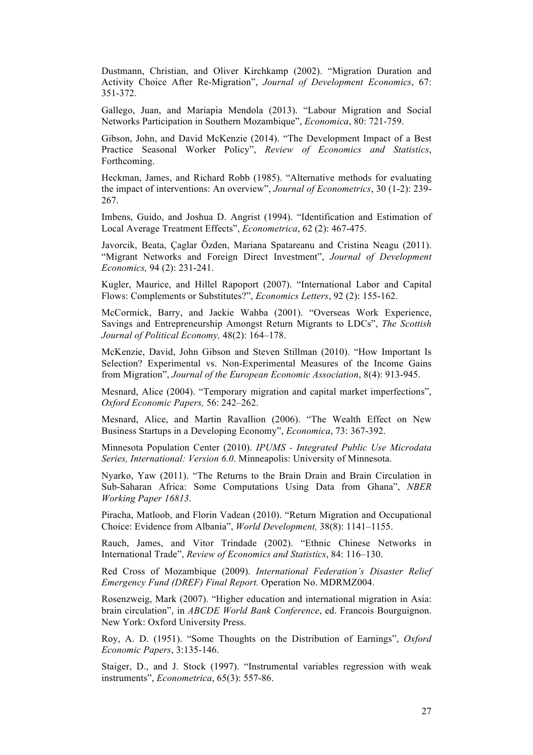Dustmann, Christian, and Oliver Kirchkamp (2002). "Migration Duration and Activity Choice After Re-Migration", *Journal of Development Economics*, 67: 351-372.

Gallego, Juan, and Mariapia Mendola (2013). "Labour Migration and Social Networks Participation in Southern Mozambique", *Economica*, 80: 721-759.

Gibson, John, and David McKenzie (2014). "The Development Impact of a Best Practice Seasonal Worker Policy", *Review of Economics and Statistics*, Forthcoming.

Heckman, James, and Richard Robb (1985). "Alternative methods for evaluating the impact of interventions: An overview", *Journal of Econometrics*, 30 (1-2): 239- 267.

Imbens, Guido, and Joshua D. Angrist (1994). "Identification and Estimation of Local Average Treatment Effects", *Econometrica*, 62 (2): 467-475.

Javorcik, Beata, Çaglar Özden, Mariana Spatareanu and Cristina Neagu (2011). "Migrant Networks and Foreign Direct Investment", *Journal of Development Economics,* 94 (2): 231-241.

Kugler, Maurice, and Hillel Rapoport (2007). "International Labor and Capital Flows: Complements or Substitutes?", *Economics Letters*, 92 (2): 155-162.

McCormick, Barry, and Jackie Wahba (2001). "Overseas Work Experience, Savings and Entrepreneurship Amongst Return Migrants to LDCs", *The Scottish Journal of Political Economy,* 48(2): 164–178.

McKenzie, David, John Gibson and Steven Stillman (2010). "How Important Is Selection? Experimental vs. Non-Experimental Measures of the Income Gains from Migration", *Journal of the European Economic Association*, 8(4): 913-945.

Mesnard, Alice (2004). "Temporary migration and capital market imperfections", *Oxford Economic Papers,* 56: 242–262.

Mesnard, Alice, and Martin Ravallion (2006). "The Wealth Effect on New Business Startups in a Developing Economy", *Economica*, 73: 367-392.

Minnesota Population Center (2010). *IPUMS - Integrated Public Use Microdata Series, International: Version 6.0*. Minneapolis: University of Minnesota.

Nyarko, Yaw (2011). "The Returns to the Brain Drain and Brain Circulation in Sub-Saharan Africa: Some Computations Using Data from Ghana", *NBER Working Paper 16813*.

Piracha, Matloob, and Florin Vadean (2010). "Return Migration and Occupational Choice: Evidence from Albania", *World Development,* 38(8): 1141–1155.

Rauch, James, and Vitor Trindade (2002). "Ethnic Chinese Networks in International Trade", *Review of Economics and Statistics*, 84: 116–130.

Red Cross of Mozambique (2009). *International Federation's Disaster Relief Emergency Fund (DREF) Final Report.* Operation No. MDRMZ004.

Rosenzweig, Mark (2007). "Higher education and international migration in Asia: brain circulation", in *ABCDE World Bank Conference*, ed. Francois Bourguignon. New York: Oxford University Press.

Roy, A. D. (1951). "Some Thoughts on the Distribution of Earnings", *Oxford Economic Papers*, 3:135-146.

Staiger, D., and J. Stock (1997). "Instrumental variables regression with weak instruments", *Econometrica*, 65(3): 557-86.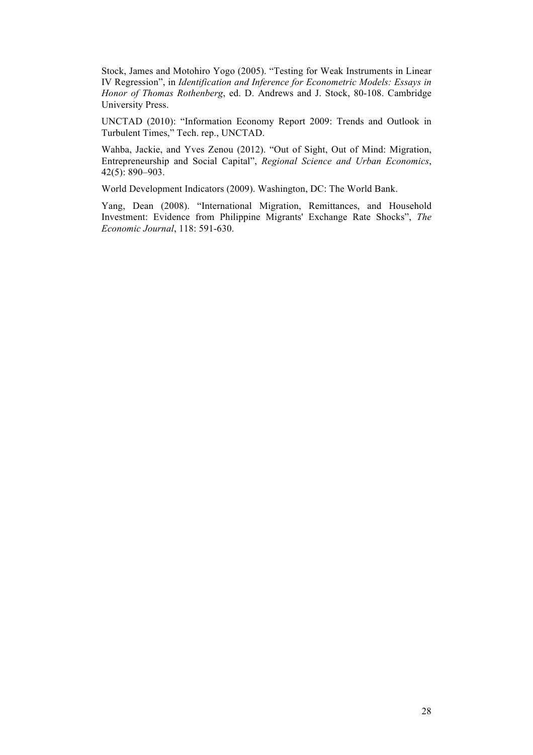Stock, James and Motohiro Yogo (2005). "Testing for Weak Instruments in Linear IV Regression", in *Identification and Inference for Econometric Models: Essays in Honor of Thomas Rothenberg*, ed. D. Andrews and J. Stock, 80-108. Cambridge University Press.

UNCTAD (2010): "Information Economy Report 2009: Trends and Outlook in Turbulent Times," Tech. rep., UNCTAD.

Wahba, Jackie, and Yves Zenou (2012). "Out of Sight, Out of Mind: Migration, Entrepreneurship and Social Capital", *Regional Science and Urban Economics*, 42(5): 890–903.

World Development Indicators (2009). Washington, DC: The World Bank.

Yang, Dean (2008). "International Migration, Remittances, and Household Investment: Evidence from Philippine Migrants' Exchange Rate Shocks", *The Economic Journal*, 118: 591-630.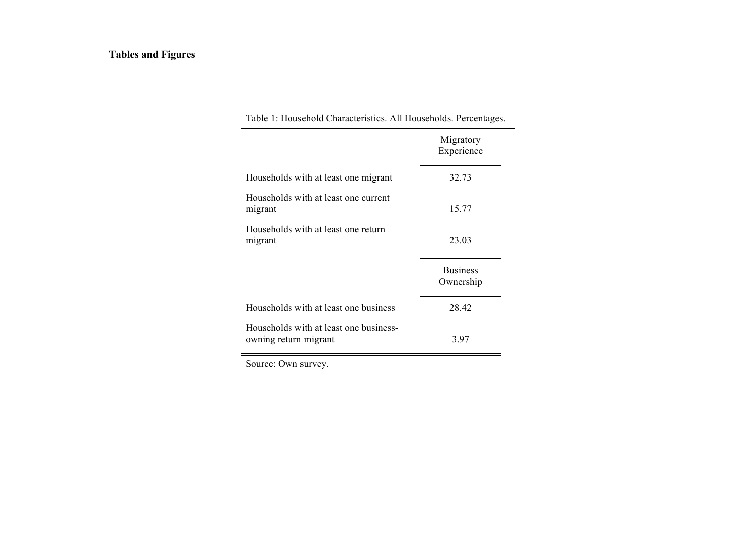## **Tables and Figures**

| Table 1: Household Characteristics. All Households. Percentages. |                              |  |  |  |  |
|------------------------------------------------------------------|------------------------------|--|--|--|--|
|                                                                  | Migratory<br>Experience      |  |  |  |  |
| Households with at least one migrant                             | 32.73                        |  |  |  |  |
| Households with at least one current<br>migrant                  | 15.77                        |  |  |  |  |
| Households with at least one return<br>migrant                   | 23.03                        |  |  |  |  |
|                                                                  | <b>Business</b><br>Ownership |  |  |  |  |
| Households with at least one business                            | 28.42                        |  |  |  |  |
| Households with at least one business-<br>owning return migrant  | 3.97                         |  |  |  |  |

Source: Own survey.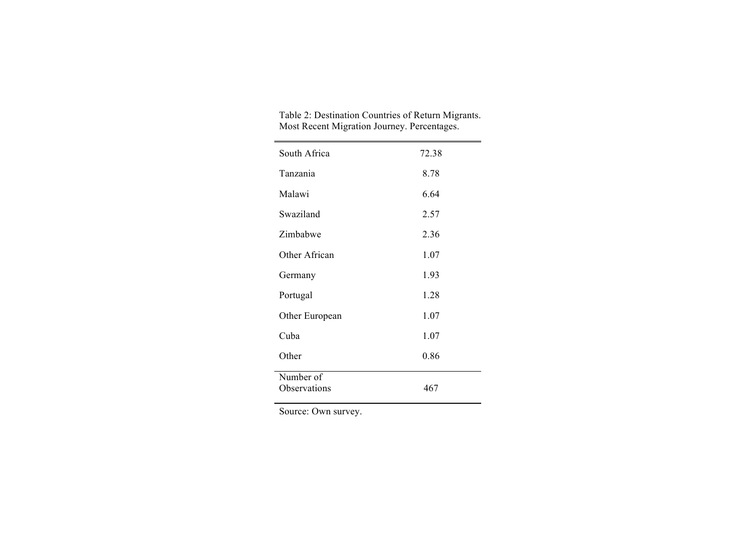| South Africa              | 72.38 |
|---------------------------|-------|
| Tanzania                  | 8.78  |
| Malawi                    | 6.64  |
| Swaziland                 | 2.57  |
| Zimbabwe                  | 2.36  |
| Other African             | 1.07  |
| Germany                   | 1.93  |
| Portugal                  | 1.28  |
| Other European            | 1.07  |
| Cuba                      | 1.07  |
| Other                     | 0.86  |
| Number of<br>Observations | 467   |
|                           |       |

| Table 2: Destination Countries of Return Migrants. |
|----------------------------------------------------|
| Most Recent Migration Journey. Percentages.        |

Source: Own survey.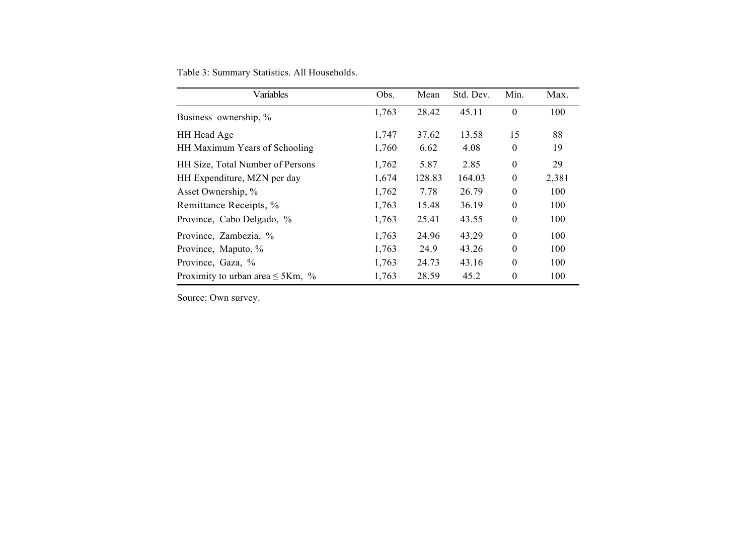|  | Table 3: Summary Statistics. All Households. |  |
|--|----------------------------------------------|--|
|  |                                              |  |

| Variables                             | Obs.  | Mean   | Std. Dev. | Min.             | Max.  |
|---------------------------------------|-------|--------|-----------|------------------|-------|
| Business ownership, %                 | 1,763 | 28.42  | 45.11     | $\mathbf{0}$     | 100   |
| HH Head Age                           | 1,747 | 37.62  | 13.58     | 15               | 88    |
| HH Maximum Years of Schooling         | 1,760 | 6.62   | 4.08      | $\boldsymbol{0}$ | 19    |
| HH Size, Total Number of Persons      | 1,762 | 5.87   | 2.85      | $\boldsymbol{0}$ | 29    |
| HH Expenditure, MZN per day           | 1,674 | 128.83 | 164.03    | $\boldsymbol{0}$ | 2,381 |
| Asset Ownership, %                    | 1,762 | 7.78   | 26.79     | $\boldsymbol{0}$ | 100   |
| Remittance Receipts, %                | 1,763 | 15.48  | 36.19     | $\boldsymbol{0}$ | 100   |
| Province, Cabo Delgado, %             | 1,763 | 25.41  | 43.55     | $\boldsymbol{0}$ | 100   |
| Province, Zambezia, %                 | 1,763 | 24.96  | 43.29     | $\theta$         | 100   |
| Province, Maputo, %                   | 1,763 | 24.9   | 43.26     | $\theta$         | 100   |
| Province, Gaza, %                     | 1,763 | 24.73  | 43.16     | $\theta$         | 100   |
| Proximity to urban area $\leq$ 5Km, % | 1,763 | 28.59  | 45.2      | $\theta$         | 100   |

Source: Own survey.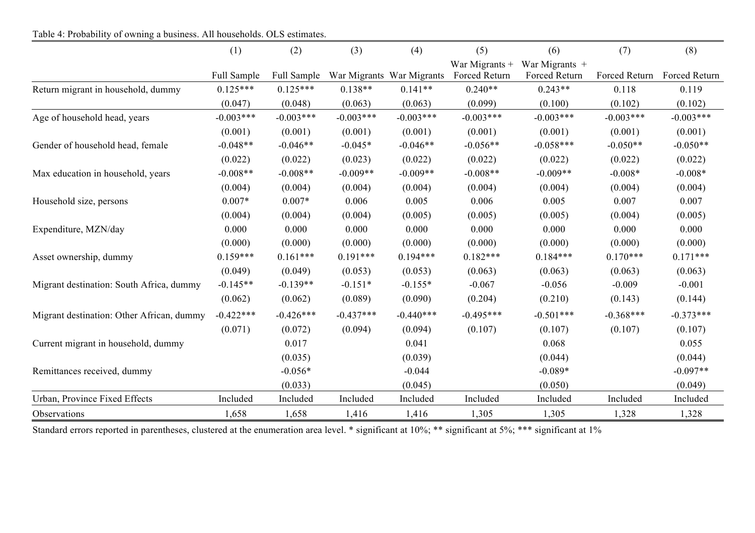Table 4: Probability of owning a business. All households. OLS estimates.

|                                           | (1)         | (2)         | (3)         | (4)                       | (5)                             | (6)                               | (7)           | (8)           |
|-------------------------------------------|-------------|-------------|-------------|---------------------------|---------------------------------|-----------------------------------|---------------|---------------|
|                                           | Full Sample | Full Sample |             | War Migrants War Migrants | War Migrants +<br>Forced Return | War Migrants $+$<br>Forced Return | Forced Return | Forced Return |
| Return migrant in household, dummy        | $0.125***$  | $0.125***$  | $0.138**$   | $0.141**$                 | $0.240**$                       | $0.243**$                         | 0.118         | 0.119         |
|                                           | (0.047)     | (0.048)     | (0.063)     | (0.063)                   | (0.099)                         | (0.100)                           | (0.102)       | (0.102)       |
| Age of household head, years              | $-0.003***$ | $-0.003***$ | $-0.003***$ | $-0.003***$               | $-0.003***$                     | $-0.003***$                       | $-0.003***$   | $-0.003***$   |
|                                           | (0.001)     | (0.001)     | (0.001)     | (0.001)                   | (0.001)                         | (0.001)                           | (0.001)       | (0.001)       |
| Gender of household head, female          | $-0.048**$  | $-0.046**$  | $-0.045*$   | $-0.046**$                | $-0.056**$                      | $-0.058***$                       | $-0.050**$    | $-0.050**$    |
|                                           | (0.022)     | (0.022)     | (0.023)     | (0.022)                   | (0.022)                         | (0.022)                           | (0.022)       | (0.022)       |
| Max education in household, years         | $-0.008**$  | $-0.008**$  | $-0.009**$  | $-0.009**$                | $-0.008**$                      | $-0.009**$                        | $-0.008*$     | $-0.008*$     |
|                                           | (0.004)     | (0.004)     | (0.004)     | (0.004)                   | (0.004)                         | (0.004)                           | (0.004)       | (0.004)       |
| Household size, persons                   | $0.007*$    | $0.007*$    | 0.006       | 0.005                     | 0.006                           | 0.005                             | 0.007         | 0.007         |
|                                           | (0.004)     | (0.004)     | (0.004)     | (0.005)                   | (0.005)                         | (0.005)                           | (0.004)       | (0.005)       |
| Expenditure, MZN/day                      | 0.000       | 0.000       | 0.000       | 0.000                     | 0.000                           | 0.000                             | 0.000         | 0.000         |
|                                           | (0.000)     | (0.000)     | (0.000)     | (0.000)                   | (0.000)                         | (0.000)                           | (0.000)       | (0.000)       |
| Asset ownership, dummy                    | $0.159***$  | $0.161***$  | $0.191***$  | $0.194***$                | $0.182***$                      | $0.184***$                        | $0.170***$    | $0.171***$    |
|                                           | (0.049)     | (0.049)     | (0.053)     | (0.053)                   | (0.063)                         | (0.063)                           | (0.063)       | (0.063)       |
| Migrant destination: South Africa, dummy  | $-0.145**$  | $-0.139**$  | $-0.151*$   | $-0.155*$                 | $-0.067$                        | $-0.056$                          | $-0.009$      | $-0.001$      |
|                                           | (0.062)     | (0.062)     | (0.089)     | (0.090)                   | (0.204)                         | (0.210)                           | (0.143)       | (0.144)       |
| Migrant destination: Other African, dummy | $-0.422***$ | $-0.426***$ | $-0.437***$ | $-0.440***$               | $-0.495***$                     | $-0.501***$                       | $-0.368***$   | $-0.373***$   |
|                                           | (0.071)     | (0.072)     | (0.094)     | (0.094)                   | (0.107)                         | (0.107)                           | (0.107)       | (0.107)       |
| Current migrant in household, dummy       |             | 0.017       |             | 0.041                     |                                 | 0.068                             |               | 0.055         |
|                                           |             | (0.035)     |             | (0.039)                   |                                 | (0.044)                           |               | (0.044)       |
| Remittances received, dummy               |             | $-0.056*$   |             | $-0.044$                  |                                 | $-0.089*$                         |               | $-0.097**$    |
|                                           |             | (0.033)     |             | (0.045)                   |                                 | (0.050)                           |               | (0.049)       |
| Urban, Province Fixed Effects             | Included    | Included    | Included    | Included                  | Included                        | Included                          | Included      | Included      |
| Observations                              | 1,658       | 1,658       | 1,416       | 1,416                     | 1,305                           | 1,305                             | 1,328         | 1,328         |

Standard errors reported in parentheses, clustered at the enumeration area level. \* significant at 10%; \*\*\* significant at 1% significant at 1%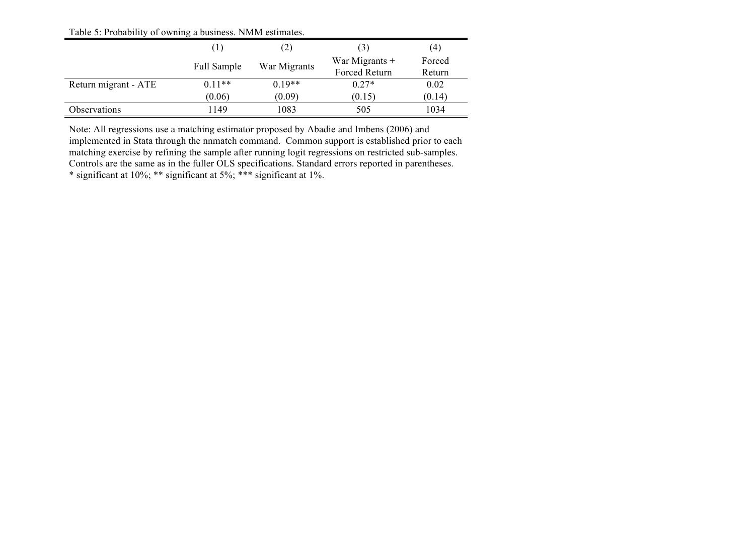Table 5: Probability of owning a business. NMM estimates.

|                      | $\left(1\right)$ | (2)          | (3)                  | (4)    |
|----------------------|------------------|--------------|----------------------|--------|
|                      | Full Sample      | War Migrants | War Migrants $+$     | Forced |
|                      |                  |              | <b>Forced Return</b> | Return |
| Return migrant - ATE | $0.11**$         | $0.19**$     | $0.27*$              | 0.02   |
|                      | (0.06)           | (0.09)       | (0.15)               | (0.14) |
| Observations         | 1149             | 1083         | 505                  | 1034   |

Note: All regressions use a matching estimator proposed by Abadie and Imbens (2006) and implemented in Stata through the nnmatch command. Common support is established prior to each matching exercise by refining the sample after running logit regressions on restricted sub-samples. Controls are the same as in the fuller OLS specifications. Standard errors reported in parentheses. \* significant at 10%; \*\* significant at 5%; \*\*\* significant at 1%.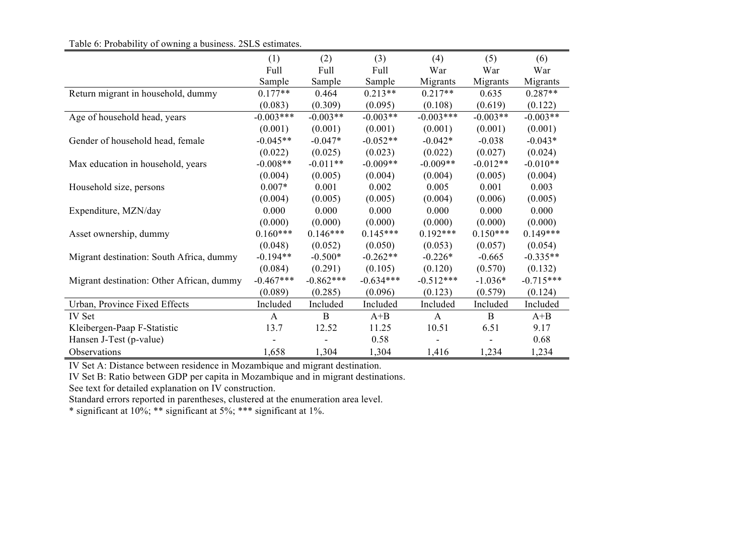### Table 6: Probability of owning a business. 2SLS estimates.

| $14010$ 0. 1100 $40111$ , of 0.01111 $\mu$ a 0.001110.00. 2010 commuted. |              |              |             |              |              |             |
|--------------------------------------------------------------------------|--------------|--------------|-------------|--------------|--------------|-------------|
|                                                                          | (1)          | (2)          | (3)         | (4)          | (5)          | (6)         |
|                                                                          | Full         | Full         | Full        | War          | War          | War         |
|                                                                          | Sample       | Sample       | Sample      | Migrants     | Migrants     | Migrants    |
| Return migrant in household, dummy                                       | $0.177**$    | 0.464        | $0.213**$   | $0.217**$    | 0.635        | $0.287**$   |
|                                                                          | (0.083)      | (0.309)      | (0.095)     | (0.108)      | (0.619)      | (0.122)     |
| Age of household head, years                                             | $-0.003***$  | $-0.003**$   | $-0.003**$  | $-0.003***$  | $-0.003**$   | $-0.003**$  |
|                                                                          | (0.001)      | (0.001)      | (0.001)     | (0.001)      | (0.001)      | (0.001)     |
| Gender of household head, female                                         | $-0.045**$   | $-0.047*$    | $-0.052**$  | $-0.042*$    | $-0.038$     | $-0.043*$   |
|                                                                          | (0.022)      | (0.025)      | (0.023)     | (0.022)      | (0.027)      | (0.024)     |
| Max education in household, years                                        | $-0.008**$   | $-0.011**$   | $-0.009**$  | $-0.009**$   | $-0.012**$   | $-0.010**$  |
|                                                                          | (0.004)      | (0.005)      | (0.004)     | (0.004)      | (0.005)      | (0.004)     |
| Household size, persons                                                  | $0.007*$     | 0.001        | 0.002       | 0.005        | 0.001        | 0.003       |
|                                                                          | (0.004)      | (0.005)      | (0.005)     | (0.004)      | (0.006)      | (0.005)     |
| Expenditure, MZN/day                                                     | 0.000        | 0.000        | 0.000       | 0.000        | 0.000        | 0.000       |
|                                                                          | (0.000)      | (0.000)      | (0.000)     | (0.000)      | (0.000)      | (0.000)     |
| Asset ownership, dummy                                                   | $0.160***$   | $0.146***$   | $0.145***$  | $0.192***$   | $0.150***$   | $0.149***$  |
|                                                                          | (0.048)      | (0.052)      | (0.050)     | (0.053)      | (0.057)      | (0.054)     |
| Migrant destination: South Africa, dummy                                 | $-0.194**$   | $-0.500*$    | $-0.262**$  | $-0.226*$    | $-0.665$     | $-0.335**$  |
|                                                                          | (0.084)      | (0.291)      | (0.105)     | (0.120)      | (0.570)      | (0.132)     |
| Migrant destination: Other African, dummy                                | $-0.467***$  | $-0.862***$  | $-0.634***$ | $-0.512***$  | $-1.036*$    | $-0.715***$ |
|                                                                          | (0.089)      | (0.285)      | (0.096)     | (0.123)      | (0.579)      | (0.124)     |
| Urban, Province Fixed Effects                                            | Included     | Included     | Included    | Included     | Included     | Included    |
| IV Set                                                                   | $\mathbf{A}$ | $\mathbf{B}$ | $A + B$     | $\mathbf{A}$ | $\mathbf{B}$ | $A + B$     |
| Kleibergen-Paap F-Statistic                                              | 13.7         | 12.52        | 11.25       | 10.51        | 6.51         | 9.17        |
| Hansen J-Test (p-value)                                                  |              |              | 0.58        |              |              | 0.68        |
| Observations                                                             | 1,658        | 1,304        | 1,304       | 1,416        | 1,234        | 1,234       |

IV Set A: Distance between residence in Mozambique and migrant destination.

IV Set B: Ratio between GDP per capita in Mozambique and in migrant destinations.

See text for detailed explanation on IV construction.

Standard errors reported in parentheses, clustered at the enumeration area level.

\* significant at 10%; \*\* significant at 5%; \*\*\* significant at 1%.